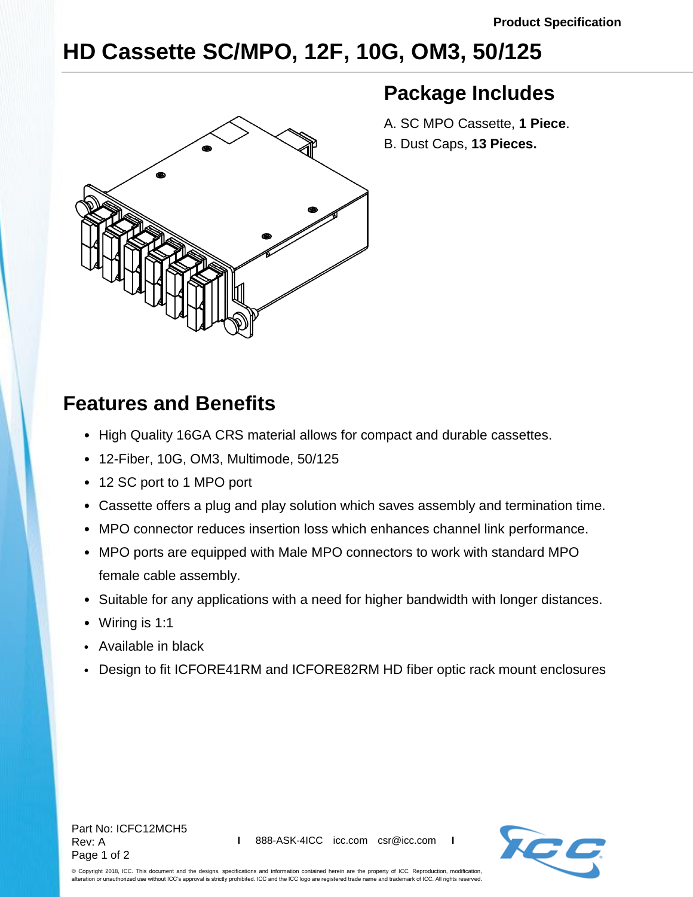## **HD Cassette SC/MPO, 12F, 10G, OM3, 50/125**



## **Package Includes**

- A. SC MPO Cassette, **1 Piece**.
- B. Dust Caps, **13 Pieces.**

## **Features and Benefits**

- High Quality 16GA CRS material allows for compact and durable cassettes.
- 12-Fiber, 10G, OM3, Multimode, 50/125
- 12 SC port to 1 MPO port
- Cassette offers a plug and play solution which saves assembly and termination time.
- MPO connector reduces insertion loss which enhances channel link performance.
- MPO ports are equipped with Male MPO connectors to work with standard MPO female cable assembly.
- Suitable for any applications with a need for higher bandwidth with longer distances.
- Wiring is 1:1
- Available in black
- Design to fit ICFORE41RM and ICFORE82RM HD fiber optic rack mount enclosures



© Copyright 2018, ICC. This document and the designs, specifications and information contained herein are the property of ICC. Reproduction, modification, alteration or unauthorized use without ICC's approval is strictly prohibited. ICC and the ICC logo are registered trade name and trademark of ICC. All rights reserved.